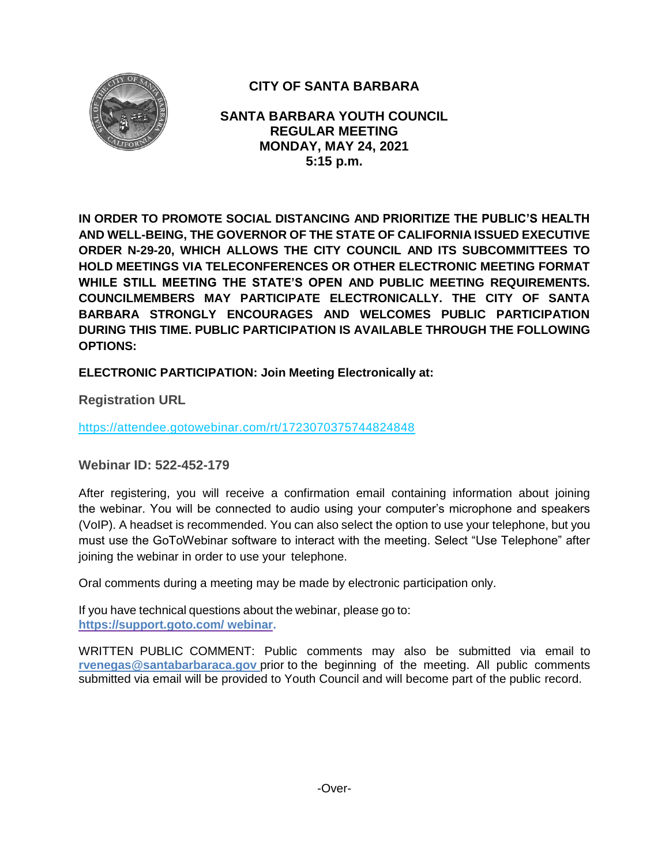

# **CITY OF SANTA BARBARA**

**SANTA BARBARA YOUTH COUNCIL REGULAR MEETING MONDAY, MAY 24, 2021 5:15 p.m.**

**IN ORDER TO PROMOTE SOCIAL DISTANCING AND PRIORITIZE THE PUBLIC'S HEALTH AND WELL-BEING, THE GOVERNOR OF THE STATE OF CALIFORNIA ISSUED EXECUTIVE ORDER N-29-20, WHICH ALLOWS THE CITY COUNCIL AND ITS SUBCOMMITTEES TO HOLD MEETINGS VIA TELECONFERENCES OR OTHER ELECTRONIC MEETING FORMAT WHILE STILL MEETING THE STATE'S OPEN AND PUBLIC MEETING REQUIREMENTS. COUNCILMEMBERS MAY PARTICIPATE ELECTRONICALLY. THE CITY OF SANTA BARBARA STRONGLY ENCOURAGES AND WELCOMES PUBLIC PARTICIPATION DURING THIS TIME. PUBLIC PARTICIPATION IS AVAILABLE THROUGH THE FOLLOWING OPTIONS:**

**ELECTRONIC PARTICIPATION: Join Meeting Electronically at:** 

**Registration URL** 

<https://attendee.gotowebinar.com/rt/1723070375744824848>

**Webinar ID: 522-452-179**

After registering, you will receive a confirmation email containing information about joining the webinar. You will be connected to audio using your computer's microphone and speakers (VoIP). A headset is recommended. You can also select the option to use your telephone, but you must use the GoToWebinar software to interact with the meeting. Select "Use Telephone" after joining the webinar in order to use your telephone.

Oral comments during a meeting may be made by electronic participation only.

If you have technical questions about the webinar, please go to: **https://support.goto.com/ webinar.**

[WRITTEN PUBLIC COMMENT:](mailto:rvenegas@santabarbaraca.gov) Public comments may also be submitted via email to **[rvenegas@santabarbaraca.gov](mailto:rvenegas@santabarbaraca.gov)** prior to the beginning of the meeting. All public comments submitted via email will be provided to Youth Council and will become part of the public record.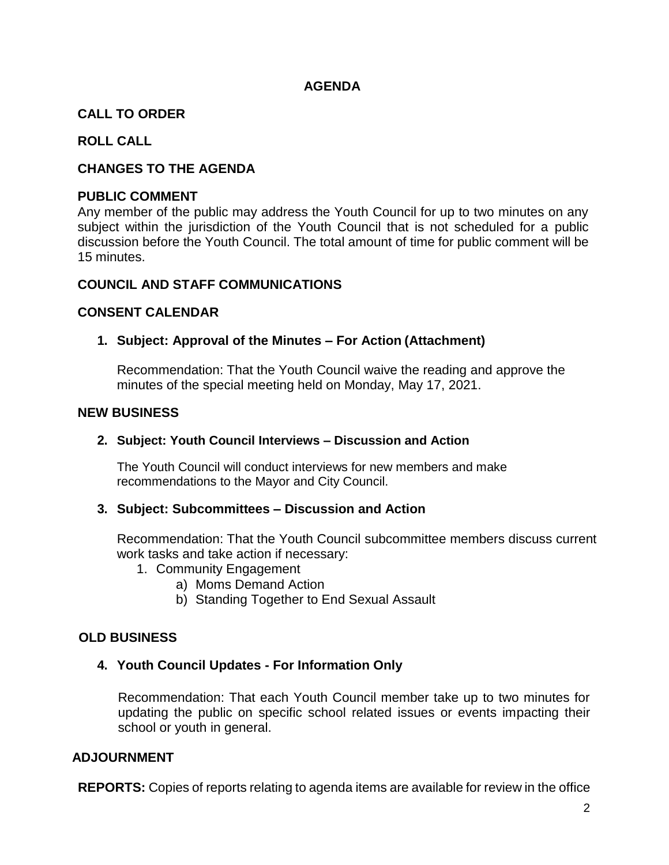## **AGENDA**

## **CALL TO ORDER**

## **ROLL CALL**

## **CHANGES TO THE AGENDA**

#### **PUBLIC COMMENT**

Any member of the public may address the Youth Council for up to two minutes on any subject within the jurisdiction of the Youth Council that is not scheduled for a public discussion before the Youth Council. The total amount of time for public comment will be 15 minutes.

#### **COUNCIL AND STAFF COMMUNICATIONS**

#### **CONSENT CALENDAR**

### **1. Subject: Approval of the Minutes – For Action (Attachment)**

Recommendation: That the Youth Council waive the reading and approve the minutes of the special meeting held on Monday, May 17, 2021.

#### **NEW BUSINESS**

#### **2. Subject: Youth Council Interviews – Discussion and Action**

The Youth Council will conduct interviews for new members and make recommendations to the Mayor and City Council.

### **3. Subject: Subcommittees – Discussion and Action**

Recommendation: That the Youth Council subcommittee members discuss current work tasks and take action if necessary:

- 1. Community Engagement
	- a) Moms Demand Action
	- b) Standing Together to End Sexual Assault

### **OLD BUSINESS**

### **4. Youth Council Updates - For Information Only**

Recommendation: That each Youth Council member take up to two minutes for updating the public on specific school related issues or events impacting their school or youth in general.

### **ADJOURNMENT**

**REPORTS:** Copies of reports relating to agenda items are available for review in the office